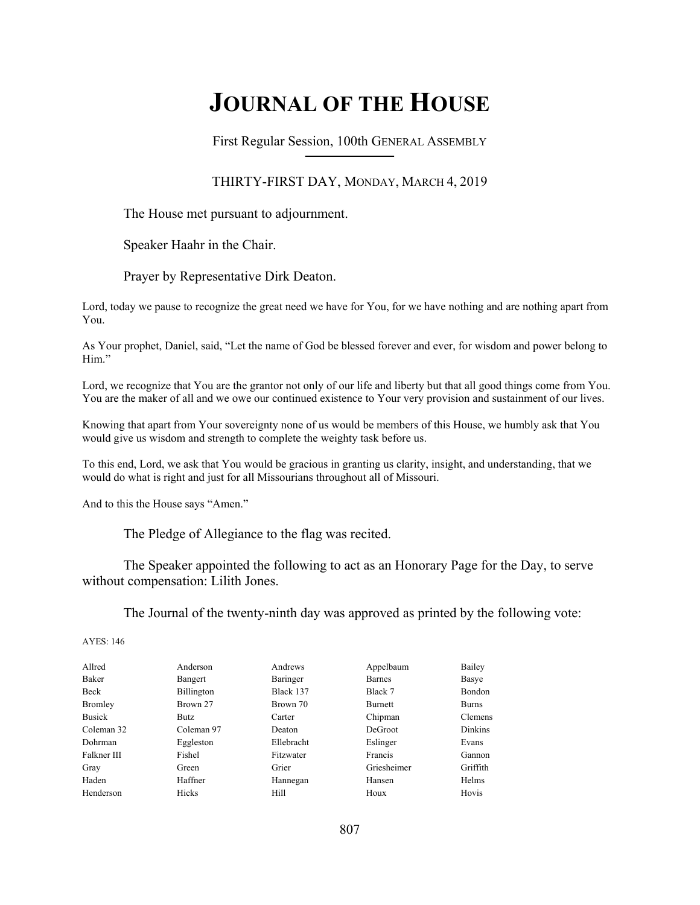# **JOURNAL OF THE HOUSE**

First Regular Session, 100th GENERAL ASSEMBLY **\_\_\_\_\_\_\_\_\_\_\_\_\_\_\_\_\_\_\_\_\_\_\_\_\_\_**

#### THIRTY-FIRST DAY, MONDAY, MARCH 4, 2019

The House met pursuant to adjournment.

Speaker Haahr in the Chair.

Prayer by Representative Dirk Deaton.

Lord, today we pause to recognize the great need we have for You, for we have nothing and are nothing apart from You.

As Your prophet, Daniel, said, "Let the name of God be blessed forever and ever, for wisdom and power belong to Him."

Lord, we recognize that You are the grantor not only of our life and liberty but that all good things come from You. You are the maker of all and we owe our continued existence to Your very provision and sustainment of our lives.

Knowing that apart from Your sovereignty none of us would be members of this House, we humbly ask that You would give us wisdom and strength to complete the weighty task before us.

To this end, Lord, we ask that You would be gracious in granting us clarity, insight, and understanding, that we would do what is right and just for all Missourians throughout all of Missouri.

And to this the House says "Amen."

The Pledge of Allegiance to the flag was recited.

 The Speaker appointed the following to act as an Honorary Page for the Day, to serve without compensation: Lilith Jones.

The Journal of the twenty-ninth day was approved as printed by the following vote:

| Allred<br>Bailey<br>Anderson<br>Andrews<br>Appelbaum<br>Baker<br>Baringer<br><b>Barnes</b><br>Basye<br>Bangert<br>Black 137<br>Beck<br>Black 7<br><b>Bondon</b><br><b>Billington</b><br><b>Bromley</b><br>Brown 27<br>Brown 70<br>Burnett<br><b>Burns</b><br><b>Busick</b><br>Chipman<br>Clemens<br>Carter<br>Butz.<br>Coleman 97<br>DeGroot<br>Dinkins<br>Coleman 32<br>Deaton |  |
|---------------------------------------------------------------------------------------------------------------------------------------------------------------------------------------------------------------------------------------------------------------------------------------------------------------------------------------------------------------------------------|--|
|                                                                                                                                                                                                                                                                                                                                                                                 |  |
|                                                                                                                                                                                                                                                                                                                                                                                 |  |
|                                                                                                                                                                                                                                                                                                                                                                                 |  |
|                                                                                                                                                                                                                                                                                                                                                                                 |  |
|                                                                                                                                                                                                                                                                                                                                                                                 |  |
|                                                                                                                                                                                                                                                                                                                                                                                 |  |
| Ellebracht<br>Dohrman<br>Eggleston<br>Eslinger<br>Evans                                                                                                                                                                                                                                                                                                                         |  |
| Fishel<br>Falkner III<br>Fitzwater<br>Francis<br>Gannon                                                                                                                                                                                                                                                                                                                         |  |
| Griesheimer<br>Griffith<br>Grier<br>Gray<br>Green                                                                                                                                                                                                                                                                                                                               |  |
| Haden<br><b>Helms</b><br>Haffner<br>Hansen<br>Hannegan                                                                                                                                                                                                                                                                                                                          |  |
| Henderson<br><b>Hicks</b><br>Hill<br>Hovis<br>Houx                                                                                                                                                                                                                                                                                                                              |  |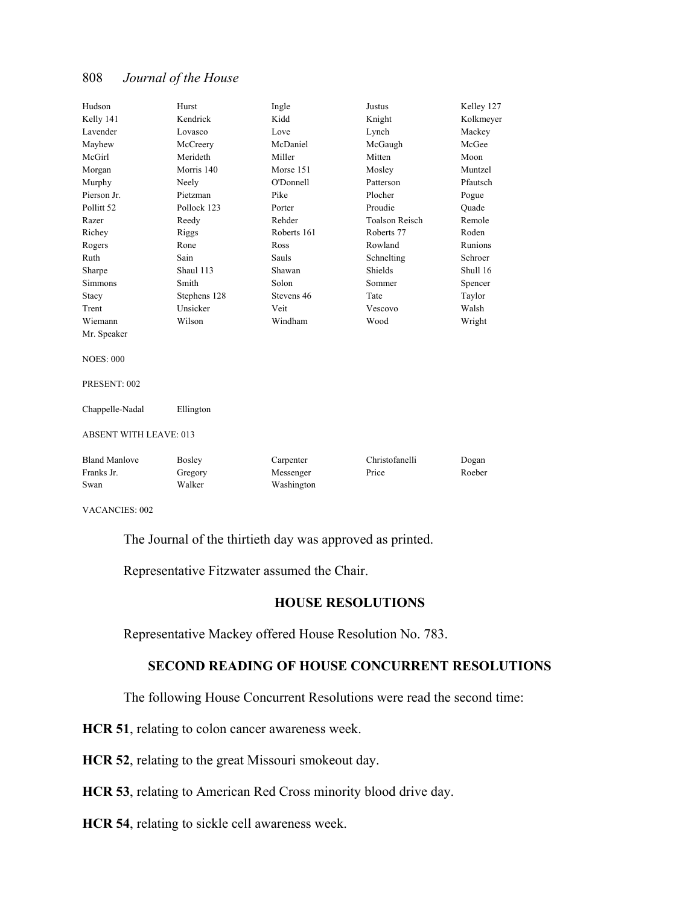| Hudson                        | Hurst         | Ingle       | Justus                | Kelley 127 |
|-------------------------------|---------------|-------------|-----------------------|------------|
| Kelly 141                     | Kendrick      | Kidd        | Knight                | Kolkmeyer  |
| Lavender                      | Lovasco       | Love        | Lynch                 | Mackey     |
| Mayhew                        | McCreery      | McDaniel    | McGaugh               | McGee      |
| McGirl                        | Merideth      | Miller      | Mitten                | Moon       |
| Morgan                        | Morris 140    | Morse 151   | Mosley                | Muntzel    |
| Murphy                        | Neely         | O'Donnell   | Patterson             | Pfautsch   |
| Pierson Jr.                   | Pietzman      | Pike        | Plocher               | Pogue      |
| Pollitt <sub>52</sub>         | Pollock 123   | Porter      | Proudie               | Ouade      |
| Razer                         | Reedy         | Rehder      | <b>Toalson Reisch</b> | Remole     |
| Richey                        | Riggs         | Roberts 161 | Roberts 77            | Roden      |
| Rogers                        | Rone          | Ross        | Rowland               | Runions    |
| Ruth                          | Sain          | Sauls       | Schnelting            | Schroer    |
| Sharpe                        | Shaul 113     | Shawan      | <b>Shields</b>        | Shull 16   |
| <b>Simmons</b>                | Smith         | Solon       | Sommer                | Spencer    |
| Stacy                         | Stephens 128  | Stevens 46  | Tate                  | Taylor     |
| Trent                         | Unsicker      | Veit        | Vescovo               | Walsh      |
| Wiemann                       | Wilson        | Windham     | Wood                  | Wright     |
| Mr. Speaker                   |               |             |                       |            |
|                               |               |             |                       |            |
| <b>NOES: 000</b>              |               |             |                       |            |
|                               |               |             |                       |            |
| PRESENT: 002                  |               |             |                       |            |
|                               |               |             |                       |            |
| Chappelle-Nadal               | Ellington     |             |                       |            |
|                               |               |             |                       |            |
| <b>ABSENT WITH LEAVE: 013</b> |               |             |                       |            |
|                               |               |             |                       |            |
| <b>Bland Manlove</b>          | <b>Bosley</b> | Carpenter   | Christofanelli        | Dogan      |
| Franks Jr.                    | Gregory       | Messenger   | Price                 | Roeber     |
| Swan                          | Walker        | Washington  |                       |            |
|                               |               |             |                       |            |

VACANCIES: 002

The Journal of the thirtieth day was approved as printed.

Representative Fitzwater assumed the Chair.

#### **HOUSE RESOLUTIONS**

Representative Mackey offered House Resolution No. 783.

## **SECOND READING OF HOUSE CONCURRENT RESOLUTIONS**

The following House Concurrent Resolutions were read the second time:

**HCR 51**, relating to colon cancer awareness week.

**HCR 52**, relating to the great Missouri smokeout day.

**HCR 53**, relating to American Red Cross minority blood drive day.

**HCR 54**, relating to sickle cell awareness week.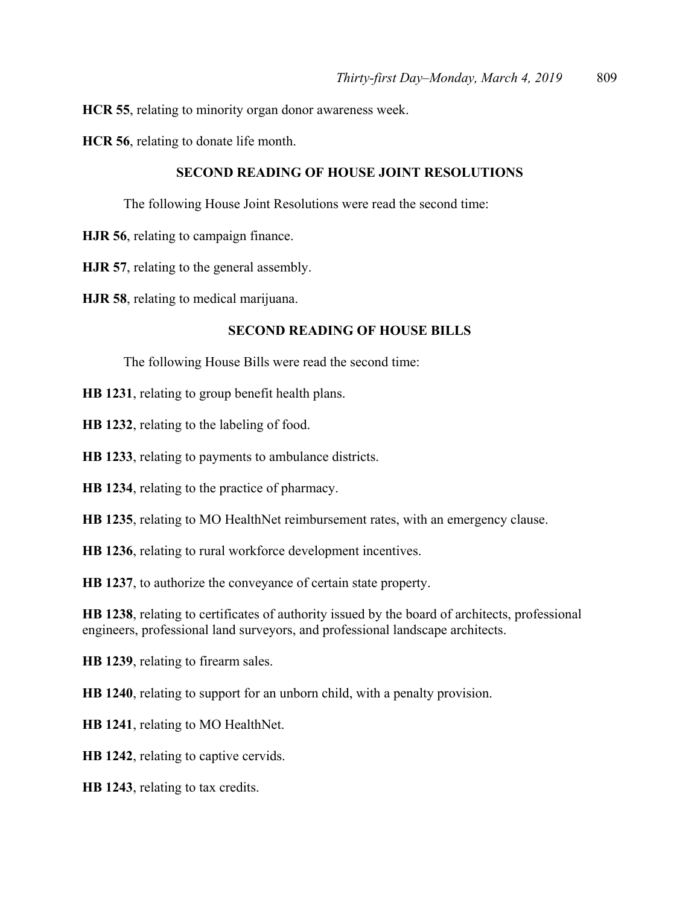**HCR 55**, relating to minority organ donor awareness week.

**HCR 56**, relating to donate life month.

#### **SECOND READING OF HOUSE JOINT RESOLUTIONS**

The following House Joint Resolutions were read the second time:

- **HJR 56**, relating to campaign finance.
- **HJR 57**, relating to the general assembly.

**HJR 58**, relating to medical marijuana.

#### **SECOND READING OF HOUSE BILLS**

The following House Bills were read the second time:

**HB 1231**, relating to group benefit health plans.

**HB 1232**, relating to the labeling of food.

**HB 1233**, relating to payments to ambulance districts.

**HB 1234**, relating to the practice of pharmacy.

**HB 1235**, relating to MO HealthNet reimbursement rates, with an emergency clause.

**HB 1236**, relating to rural workforce development incentives.

**HB 1237**, to authorize the conveyance of certain state property.

**HB 1238**, relating to certificates of authority issued by the board of architects, professional engineers, professional land surveyors, and professional landscape architects.

**HB 1239**, relating to firearm sales.

**HB 1240**, relating to support for an unborn child, with a penalty provision.

**HB 1241**, relating to MO HealthNet.

**HB 1242**, relating to captive cervids.

**HB 1243**, relating to tax credits.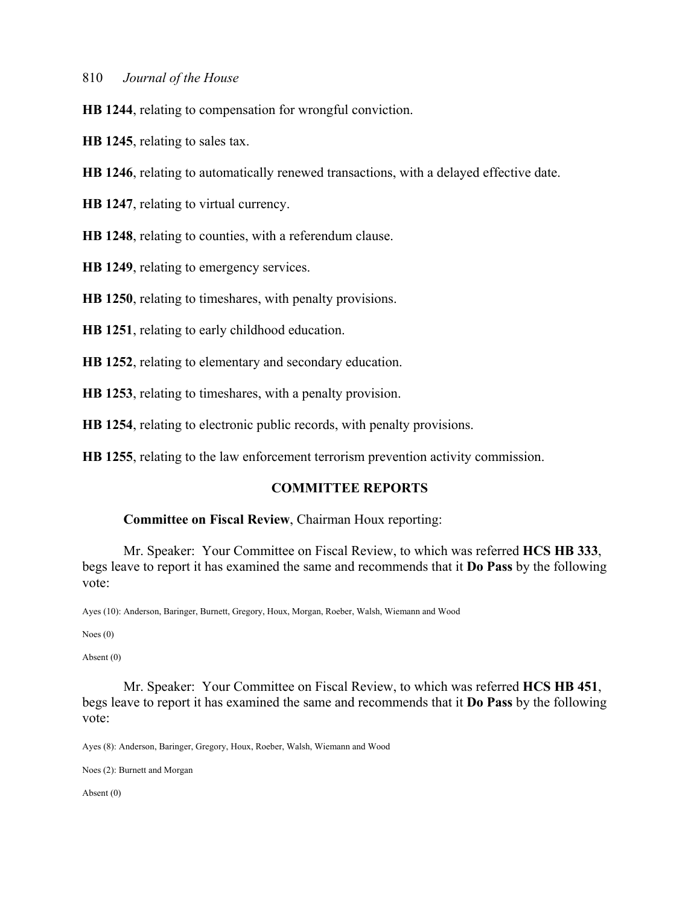**HB 1244**, relating to compensation for wrongful conviction.

**HB 1245**, relating to sales tax.

**HB 1246**, relating to automatically renewed transactions, with a delayed effective date.

**HB 1247**, relating to virtual currency.

**HB 1248**, relating to counties, with a referendum clause.

**HB 1249**, relating to emergency services.

**HB 1250**, relating to timeshares, with penalty provisions.

**HB 1251**, relating to early childhood education.

**HB 1252**, relating to elementary and secondary education.

**HB 1253**, relating to timeshares, with a penalty provision.

**HB 1254**, relating to electronic public records, with penalty provisions.

**HB 1255**, relating to the law enforcement terrorism prevention activity commission.

#### **COMMITTEE REPORTS**

#### **Committee on Fiscal Review**, Chairman Houx reporting:

 Mr. Speaker: Your Committee on Fiscal Review, to which was referred **HCS HB 333**, begs leave to report it has examined the same and recommends that it **Do Pass** by the following vote:

Ayes (10): Anderson, Baringer, Burnett, Gregory, Houx, Morgan, Roeber, Walsh, Wiemann and Wood

Noes (0)

Absent (0)

 Mr. Speaker: Your Committee on Fiscal Review, to which was referred **HCS HB 451**, begs leave to report it has examined the same and recommends that it **Do Pass** by the following vote:

Ayes (8): Anderson, Baringer, Gregory, Houx, Roeber, Walsh, Wiemann and Wood

Noes (2): Burnett and Morgan

Absent (0)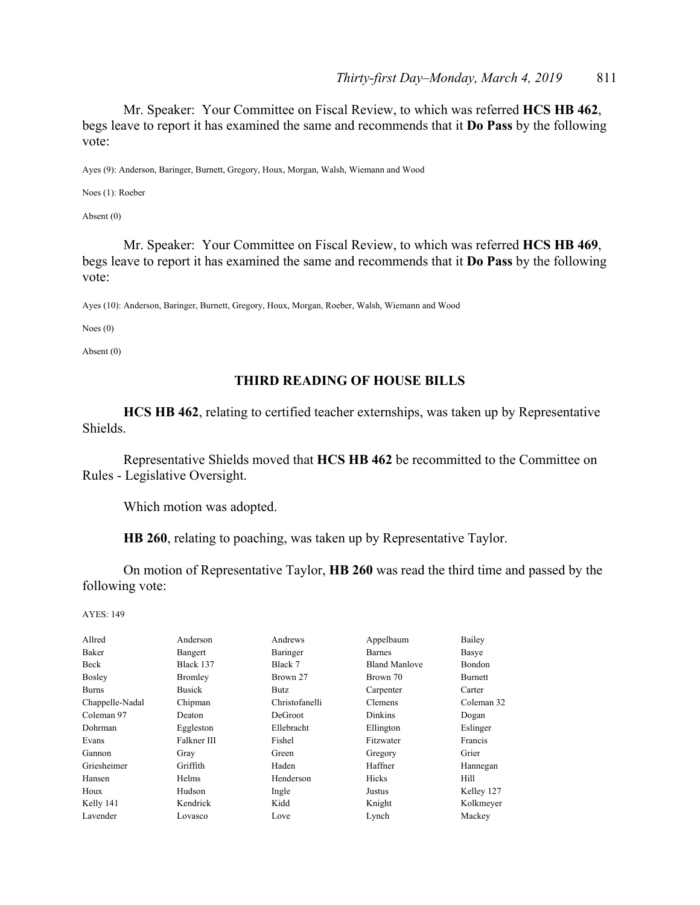Mr. Speaker: Your Committee on Fiscal Review, to which was referred **HCS HB 462**, begs leave to report it has examined the same and recommends that it **Do Pass** by the following vote:

Ayes (9): Anderson, Baringer, Burnett, Gregory, Houx, Morgan, Walsh, Wiemann and Wood

Noes (1): Roeber

Absent (0)

 Mr. Speaker: Your Committee on Fiscal Review, to which was referred **HCS HB 469**, begs leave to report it has examined the same and recommends that it **Do Pass** by the following vote:

Ayes (10): Anderson, Baringer, Burnett, Gregory, Houx, Morgan, Roeber, Walsh, Wiemann and Wood

Noes (0)

Absent (0)

#### **THIRD READING OF HOUSE BILLS**

**HCS HB 462**, relating to certified teacher externships, was taken up by Representative Shields.

 Representative Shields moved that **HCS HB 462** be recommitted to the Committee on Rules - Legislative Oversight.

Which motion was adopted.

**HB 260**, relating to poaching, was taken up by Representative Taylor.

 On motion of Representative Taylor, **HB 260** was read the third time and passed by the following vote:

| Allred          | Anderson       | Andrews        | Appelbaum            | Bailey         |
|-----------------|----------------|----------------|----------------------|----------------|
| Baker           | Bangert        | Baringer       | <b>Barnes</b>        | Basye          |
| Beck            | Black 137      | Black 7        | <b>Bland Manlove</b> | Bondon         |
| <b>Bosley</b>   | <b>Bromley</b> | Brown 27       | Brown 70             | <b>Burnett</b> |
| <b>Burns</b>    | <b>Busick</b>  | Butz           | Carpenter            | Carter         |
| Chappelle-Nadal | Chipman        | Christofanelli | Clemens              | Coleman 32     |
| Coleman 97      | Deaton         | DeGroot        | Dinkins              | Dogan          |
| Dohrman         | Eggleston      | Ellebracht     | Ellington            | Eslinger       |
| Evans           | Falkner III    | Fishel         | Fitzwater            | Francis        |
| Gannon          | Gray           | Green          | Gregory              | Grier          |
| Griesheimer     | Griffith       | Haden          | Haffner              | Hannegan       |
| Hansen          | <b>Helms</b>   | Henderson      | <b>Hicks</b>         | Hill           |
| Houx            | Hudson         | Ingle          | Justus               | Kelley 127     |
| Kelly 141       | Kendrick       | Kidd           | Knight               | Kolkmeyer      |
| Lavender        | Lovasco        | Love           | Lynch                | Mackey         |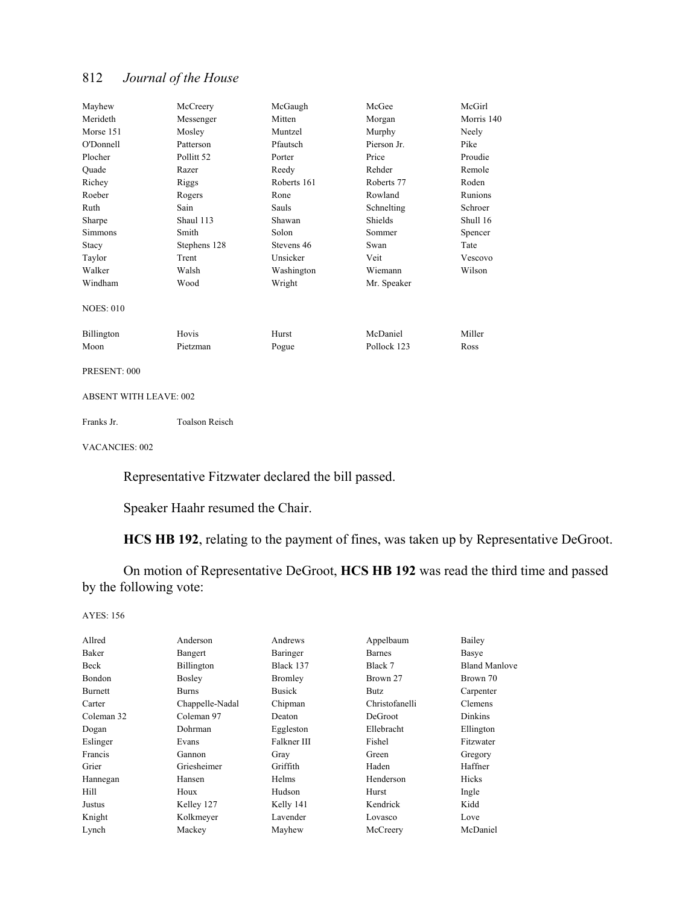| Mayhew            | McCreery              | McGaugh     | McGee       | McGirl     |
|-------------------|-----------------------|-------------|-------------|------------|
| Merideth          | Messenger             | Mitten      | Morgan      | Morris 140 |
| Morse 151         | Mosley                | Muntzel     | Murphy      | Neely      |
| O'Donnell         | Patterson             | Pfautsch    | Pierson Jr. | Pike       |
| Plocher           | Pollitt <sub>52</sub> | Porter      | Price       | Proudie    |
| Quade             | Razer                 | Reedy       | Rehder      | Remole     |
| Richev            | Riggs                 | Roberts 161 | Roberts 77  | Roden      |
| Roeber            | Rogers                | Rone        | Rowland     | Runions    |
| Ruth              | Sain                  | Sauls       | Schnelting  | Schroer    |
| Sharpe            | Shaul 113             | Shawan      | Shields     | Shull 16   |
| <b>Simmons</b>    | Smith                 | Solon       | Sommer      | Spencer    |
| Stacy             | Stephens 128          | Stevens 46  | Swan        | Tate       |
| Taylor            | Trent                 | Unsicker    | Veit        | Vescovo    |
| Walker            | Walsh                 | Washington  | Wiemann     | Wilson     |
| Windham           | Wood                  | Wright      | Mr. Speaker |            |
| <b>NOES: 010</b>  |                       |             |             |            |
| <b>Billington</b> | Hovis                 | Hurst       | McDaniel    | Miller     |
| Moon              | Pietzman              | Pogue       | Pollock 123 | Ross       |
|                   |                       |             |             |            |

PRESENT: 000

#### ABSENT WITH LEAVE: 002

Franks Jr. Toalson Reisch

VACANCIES: 002

Representative Fitzwater declared the bill passed.

Speaker Haahr resumed the Chair.

**HCS HB 192**, relating to the payment of fines, was taken up by Representative DeGroot.

 On motion of Representative DeGroot, **HCS HB 192** was read the third time and passed by the following vote:

| Allred     | Anderson        | Andrews       | Appelbaum      | Bailey               |
|------------|-----------------|---------------|----------------|----------------------|
| Baker      | Bangert         | Baringer      | Barnes         | Basye                |
| Beck       | Billington      | Black 137     | Black 7        | <b>Bland Manlove</b> |
| Bondon     | <b>Bosley</b>   | Bromley       | Brown 27       | Brown 70             |
| Burnett    | Burns           | <b>Busick</b> | Butz           | Carpenter            |
| Carter     | Chappelle-Nadal | Chipman       | Christofanelli | Clemens              |
| Coleman 32 | Coleman 97      | Deaton        | DeGroot        | Dinkins              |
| Dogan      | Dohrman         | Eggleston     | Ellebracht     | Ellington            |
| Eslinger   | Evans           | Falkner III   | Fishel         | Fitzwater            |
| Francis    | Gannon          | Gray          | Green          | Gregory              |
| Grier      | Griesheimer     | Griffith      | Haden          | Haffner              |
| Hannegan   | Hansen          | Helms         | Henderson      | Hicks                |
| Hill       | Houx            | Hudson        | Hurst          | Ingle                |
| Justus     | Kelley 127      | Kelly 141     | Kendrick       | Kidd                 |
| Knight     | Kolkmeyer       | Lavender      | Lovasco        | Love                 |
| Lynch      | Mackey          | Mayhew        | McCreery       | McDaniel             |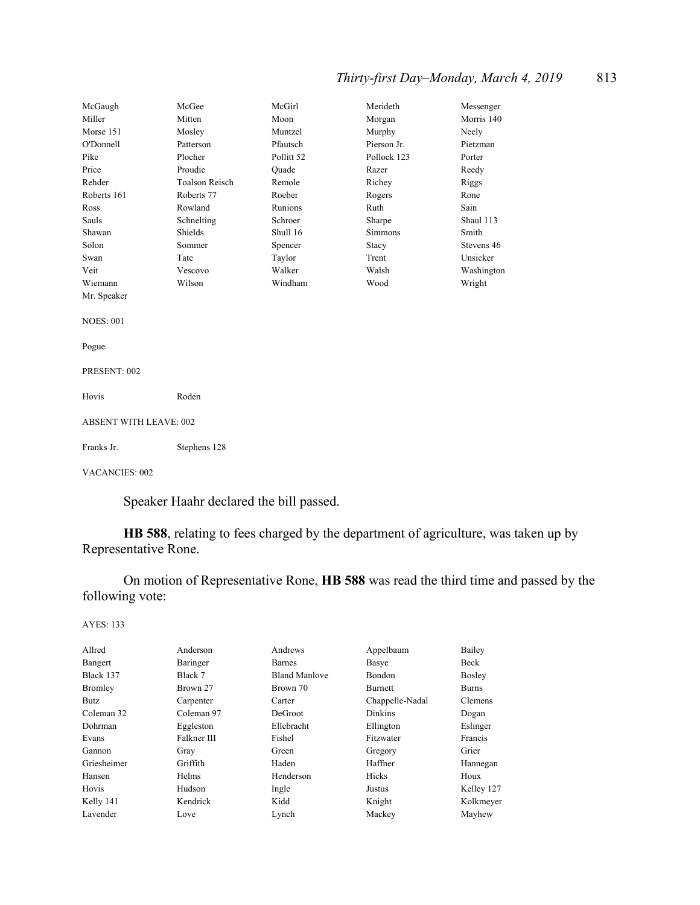## *Thirty-first Day–Monday, March 4, 2019* 813

| McGaugh               | McGee                         | McGirl     | Merideth    | Messenger  |  |
|-----------------------|-------------------------------|------------|-------------|------------|--|
| Miller                | Mitten                        | Moon       | Morgan      | Morris 140 |  |
| Morse 151             | Mosley                        | Muntzel    | Murphy      | Neely      |  |
| O'Donnell             | Patterson                     | Pfautsch   | Pierson Jr. | Pietzman   |  |
| Pike                  | Plocher                       | Pollitt 52 | Pollock 123 | Porter     |  |
| Price                 | Proudie                       | Quade      | Razer       | Reedy      |  |
| Rehder                | <b>Toalson Reisch</b>         | Remole     | Richey      | Riggs      |  |
| Roberts 161           | Roberts 77                    | Roeber     | Rogers      | Rone       |  |
| Ross                  | Rowland                       | Runions    | Ruth        | Sain       |  |
| Sauls                 | Schnelting                    | Schroer    | Sharpe      | Shaul 113  |  |
| Shawan                | Shields                       | Shull 16   | Simmons     | Smith      |  |
| Solon                 | Sommer                        | Spencer    | Stacy       | Stevens 46 |  |
| Swan                  | Tate                          | Taylor     | Trent       | Unsicker   |  |
| Veit                  | Vescovo                       | Walker     | Walsh       | Washington |  |
| Wiemann               | Wilson                        | Windham    | Wood        | Wright     |  |
| Mr. Speaker           |                               |            |             |            |  |
|                       |                               |            |             |            |  |
| <b>NOES: 001</b>      |                               |            |             |            |  |
|                       |                               |            |             |            |  |
| Pogue                 |                               |            |             |            |  |
|                       |                               |            |             |            |  |
| PRESENT: 002          |                               |            |             |            |  |
|                       |                               |            |             |            |  |
| Hovis                 | Roden                         |            |             |            |  |
|                       |                               |            |             |            |  |
|                       | <b>ABSENT WITH LEAVE: 002</b> |            |             |            |  |
|                       |                               |            |             |            |  |
| Franks Jr.            | Stephens 128                  |            |             |            |  |
| <b>VACANCIES: 002</b> |                               |            |             |            |  |

Speaker Haahr declared the bill passed.

**HB 588**, relating to fees charged by the department of agriculture, was taken up by Representative Rone.

 On motion of Representative Rone, **HB 588** was read the third time and passed by the following vote:

| Allred         | Anderson    | Andrews              | Appelbaum       | Bailey        |
|----------------|-------------|----------------------|-----------------|---------------|
| Bangert        | Baringer    | Barnes               | Basye           | Beck          |
| Black 137      | Black 7     | <b>Bland Manlove</b> | <b>Bondon</b>   | <b>Bosley</b> |
| <b>Bromley</b> | Brown 27    | Brown 70             | <b>Burnett</b>  | <b>Burns</b>  |
| Butz           | Carpenter   | Carter               | Chappelle-Nadal | Clemens       |
| Coleman 32     | Coleman 97  | DeGroot              | <b>Dinkins</b>  | Dogan         |
| Dohrman        | Eggleston   | Ellebracht           | Ellington       | Eslinger      |
| Evans          | Falkner III | Fishel               | Fitzwater       | Francis       |
| Gannon         | Gray        | Green                | Gregory         | Grier         |
| Griesheimer    | Griffith    | Haden                | Haffner         | Hannegan      |
| Hansen         | Helms       | Henderson            | Hicks           | Houx          |
| Hovis          | Hudson      | Ingle                | Justus          | Kelley 127    |
| Kelly 141      | Kendrick    | Kidd                 | Knight          | Kolkmeyer     |
| Lavender       | Love        | Lynch                | Mackey          | Mayhew        |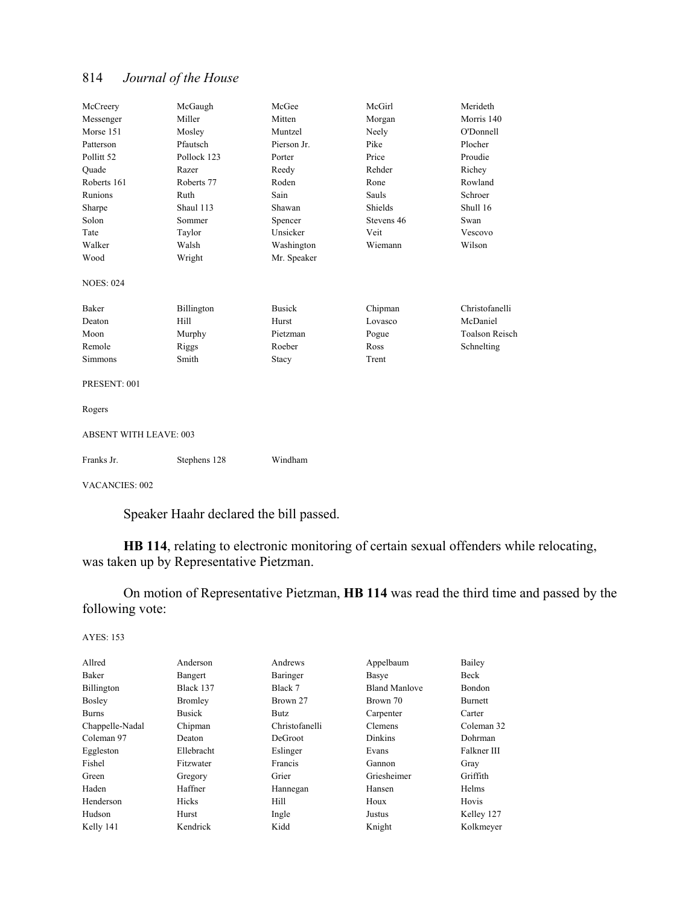| McCreery                      | McGaugh      | McGee         | McGirl     | Merideth              |
|-------------------------------|--------------|---------------|------------|-----------------------|
| Messenger                     | Miller       | Mitten        | Morgan     | Morris 140            |
| Morse 151                     | Mosley       | Muntzel       | Neely      | O'Donnell             |
| Patterson                     | Pfautsch     | Pierson Jr.   | Pike       | Plocher               |
| Pollitt <sub>52</sub>         | Pollock 123  | Porter        | Price      | Proudie               |
| Ouade                         | Razer        | Reedy         | Rehder     | Richey                |
| Roberts 161                   | Roberts 77   | Roden         | Rone       | Rowland               |
| Runions                       | Ruth         | Sain          | Sauls      | Schroer               |
| Sharpe                        | Shaul 113    | Shawan        | Shields    | Shull 16              |
| Solon                         | Sommer       | Spencer       | Stevens 46 | Swan                  |
| Tate                          | Taylor       | Unsicker      | Veit       | Vescovo               |
| Walker                        | Walsh        | Washington    | Wiemann    | Wilson                |
| Wood                          | Wright       | Mr. Speaker   |            |                       |
| <b>NOES: 024</b>              |              |               |            |                       |
| Baker                         | Billington   | <b>Busick</b> | Chipman    | Christofanelli        |
| Deaton                        | Hill         | Hurst         | Lovasco    | McDaniel              |
| Moon                          | Murphy       | Pietzman      | Pogue      | <b>Toalson Reisch</b> |
| Remole                        | Riggs        | Roeber        | Ross       | Schnelting            |
| Simmons                       | Smith        | Stacy         | Trent      |                       |
| PRESENT: 001                  |              |               |            |                       |
| Rogers                        |              |               |            |                       |
| <b>ABSENT WITH LEAVE: 003</b> |              |               |            |                       |
| Franks Jr.                    | Stephens 128 | Windham       |            |                       |
| <b>VACANCIES: 002</b>         |              |               |            |                       |

Speaker Haahr declared the bill passed.

**HB 114**, relating to electronic monitoring of certain sexual offenders while relocating, was taken up by Representative Pietzman.

 On motion of Representative Pietzman, **HB 114** was read the third time and passed by the following vote:

| Allred          | Anderson       | Andrews        | Appelbaum            | Bailey         |
|-----------------|----------------|----------------|----------------------|----------------|
| Baker           | Bangert        | Baringer       | Basye                | Beck           |
| Billington      | Black 137      | Black 7        | <b>Bland Manlove</b> | Bondon         |
| <b>Bosley</b>   | <b>Bromley</b> | Brown 27       | Brown 70             | <b>Burnett</b> |
| <b>Burns</b>    | <b>Busick</b>  | Butz           | Carpenter            | Carter         |
| Chappelle-Nadal | Chipman        | Christofanelli | Clemens              | Coleman 32     |
| Coleman 97      | Deaton         | DeGroot        | Dinkins              | Dohrman        |
| Eggleston       | Ellebracht     | Eslinger       | Evans                | Falkner III    |
| Fishel          | Fitzwater      | Francis        | Gannon               | Gray           |
| Green           | Gregory        | Grier          | Griesheimer          | Griffith       |
| Haden           | Haffner        | Hannegan       | Hansen               | Helms          |
| Henderson       | Hicks          | Hill           | Houx                 | Hovis          |
| Hudson          | Hurst          | Ingle          | Justus               | Kelley 127     |
| Kelly 141       | Kendrick       | Kidd           | Knight               | Kolkmeyer      |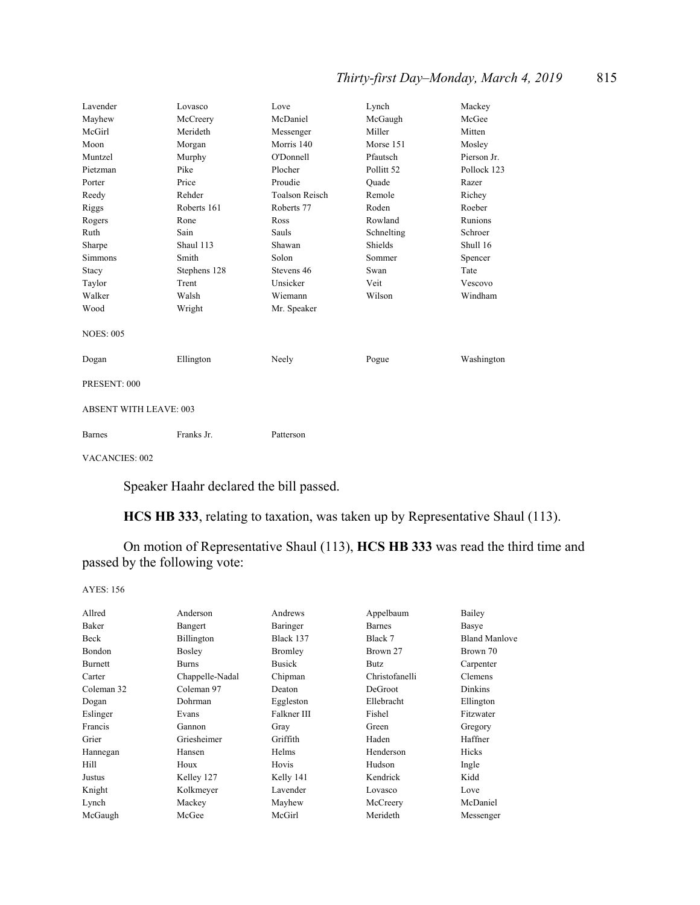## *Thirty-first Day–Monday, March 4, 2019* 815

| Lavender                      | Lovasco      | Love                  | Lynch                 | Mackey      |
|-------------------------------|--------------|-----------------------|-----------------------|-------------|
| Mayhew                        | McCreery     | McDaniel              | McGaugh               | McGee       |
| McGirl                        | Merideth     | Messenger             | Miller                | Mitten      |
| Moon                          | Morgan       | Morris 140            | Morse 151             | Mosley      |
| Muntzel                       | Murphy       | O'Donnell             | Pfautsch              | Pierson Jr. |
| Pietzman                      | Pike         | Plocher               | Pollitt <sub>52</sub> | Pollock 123 |
| Porter                        | Price        | Proudie               | Quade                 | Razer       |
| Reedy                         | Rehder       | <b>Toalson Reisch</b> | Remole                | Richey      |
| Riggs                         | Roberts 161  | Roberts 77            | Roden                 | Roeber      |
| Rogers                        | Rone         | Ross                  | Rowland               | Runions     |
| Ruth                          | Sain         | Sauls                 | Schnelting            | Schroer     |
| Sharpe                        | Shaul 113    | Shawan                | Shields               | Shull 16    |
| Simmons                       | Smith        | Solon                 | Sommer                | Spencer     |
| Stacy                         | Stephens 128 | Stevens 46            | Swan                  | Tate        |
| Taylor                        | Trent        | Unsicker              | Veit                  | Vescovo     |
| Walker                        | Walsh        | Wiemann               | Wilson                | Windham     |
| Wood                          | Wright       | Mr. Speaker           |                       |             |
| <b>NOES: 005</b>              |              |                       |                       |             |
| Dogan                         | Ellington    | Neely                 | Pogue                 | Washington  |
| PRESENT: 000                  |              |                       |                       |             |
| <b>ABSENT WITH LEAVE: 003</b> |              |                       |                       |             |
| <b>Barnes</b>                 | Franks Jr.   | Patterson             |                       |             |

VACANCIES: 002

Speaker Haahr declared the bill passed.

**HCS HB 333**, relating to taxation, was taken up by Representative Shaul (113).

 On motion of Representative Shaul (113), **HCS HB 333** was read the third time and passed by the following vote:

| Allred     | Anderson        | Andrews        | Appelbaum      | Bailey               |
|------------|-----------------|----------------|----------------|----------------------|
| Baker      | Bangert         | Baringer       | <b>Barnes</b>  | Basye                |
| Beck       | Billington      | Black 137      | Black 7        | <b>Bland Manlove</b> |
| Bondon     | <b>Bosley</b>   | <b>Bromley</b> | Brown 27       | Brown 70             |
| Burnett    | <b>Burns</b>    | <b>Busick</b>  | Butz           | Carpenter            |
| Carter     | Chappelle-Nadal | Chipman        | Christofanelli | Clemens              |
| Coleman 32 | Coleman 97      | Deaton         | DeGroot        | Dinkins              |
| Dogan      | Dohrman         | Eggleston      | Ellebracht     | Ellington            |
| Eslinger   | Evans           | Falkner III    | Fishel         | Fitzwater            |
| Francis    | Gannon          | Gray           | Green          | Gregory              |
| Grier      | Griesheimer     | Griffith       | Haden          | Haffner              |
| Hannegan   | Hansen          | Helms          | Henderson      | Hicks                |
| Hill       | Houx            | Hovis          | Hudson         | Ingle                |
| Justus     | Kelley 127      | Kelly 141      | Kendrick       | Kidd                 |
| Knight     | Kolkmeyer       | Lavender       | Lovasco        | Love                 |
| Lynch      | Mackey          | Mayhew         | McCreery       | McDaniel             |
| McGaugh    | McGee           | McGirl         | Merideth       | Messenger            |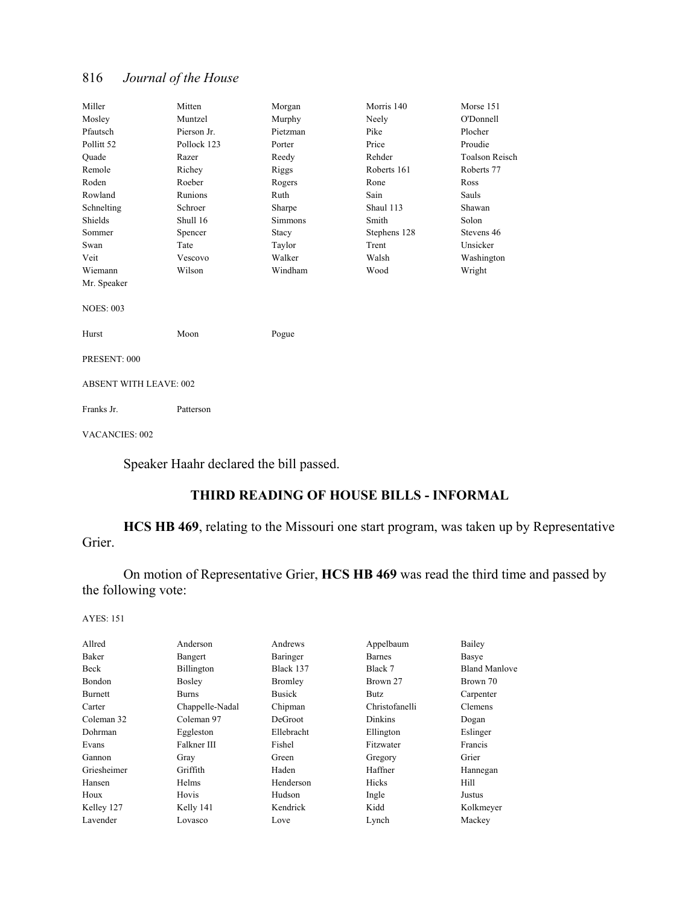| Miller                        | Mitten      | Morgan         | Morris 140   | Morse 151             |  |
|-------------------------------|-------------|----------------|--------------|-----------------------|--|
| Mosley                        | Muntzel     | Murphy         | Neely        | O'Donnell             |  |
| Pfautsch                      | Pierson Jr. | Pietzman       | Pike         | Plocher               |  |
| Pollitt 52                    | Pollock 123 | Porter         | Price        | Proudie               |  |
| Ouade                         | Razer       | Reedy          | Rehder       | <b>Toalson Reisch</b> |  |
| Remole                        | Richey      | Riggs          | Roberts 161  | Roberts 77            |  |
| Roden                         | Roeber      | Rogers         | Rone         | Ross                  |  |
| Rowland                       | Runions     | Ruth           | Sain         | Sauls                 |  |
| Schnelting                    | Schroer     | Sharpe         | Shaul 113    | Shawan                |  |
| Shields                       | Shull 16    | <b>Simmons</b> | Smith        | Solon                 |  |
| Sommer                        | Spencer     | Stacy          | Stephens 128 | Stevens 46            |  |
| Swan                          | Tate        | Taylor         | Trent        | Unsicker              |  |
| Veit                          | Vescovo     | Walker         | Walsh        | Washington            |  |
| Wiemann                       | Wilson      | Windham        | Wood         | Wright                |  |
| Mr. Speaker                   |             |                |              |                       |  |
|                               |             |                |              |                       |  |
| <b>NOES: 003</b>              |             |                |              |                       |  |
|                               |             |                |              |                       |  |
| Hurst                         | Moon        | Pogue          |              |                       |  |
|                               |             |                |              |                       |  |
| PRESENT: 000                  |             |                |              |                       |  |
|                               |             |                |              |                       |  |
| <b>ABSENT WITH LEAVE: 002</b> |             |                |              |                       |  |
| Franks Jr.                    | Patterson   |                |              |                       |  |
|                               |             |                |              |                       |  |
|                               |             |                |              |                       |  |

VACANCIES: 002

Speaker Haahr declared the bill passed.

## **THIRD READING OF HOUSE BILLS - INFORMAL**

**HCS HB 469**, relating to the Missouri one start program, was taken up by Representative Grier.

 On motion of Representative Grier, **HCS HB 469** was read the third time and passed by the following vote:

| Allred      | Anderson        | Andrews        | Appelbaum      | Bailey               |
|-------------|-----------------|----------------|----------------|----------------------|
| Baker       | Bangert         | Baringer       | <b>Barnes</b>  | Basye                |
| Beck        | Billington      | Black 137      | Black 7        | <b>Bland Manlove</b> |
| Bondon      | <b>Bosley</b>   | <b>Bromley</b> | Brown 27       | Brown 70             |
| Burnett     | Burns           | <b>Busick</b>  | Butz           | Carpenter            |
| Carter      | Chappelle-Nadal | Chipman        | Christofanelli | <b>Clemens</b>       |
| Coleman 32  | Coleman 97      | DeGroot        | Dinkins        | Dogan                |
| Dohrman     | Eggleston       | Ellebracht     | Ellington      | Eslinger             |
| Evans       | Falkner III     | Fishel         | Fitzwater      | Francis              |
| Gannon      | Gray            | Green          | Gregory        | Grier                |
| Griesheimer | Griffith        | Haden          | Haffner        | Hannegan             |
| Hansen      | Helms           | Henderson      | Hicks          | Hill                 |
| Houx        | Hovis           | Hudson         | Ingle          | Justus               |
| Kelley 127  | Kelly 141       | Kendrick       | Kidd           | Kolkmeyer            |
| Lavender    | Lovasco         | Love           | Lynch          | Mackey               |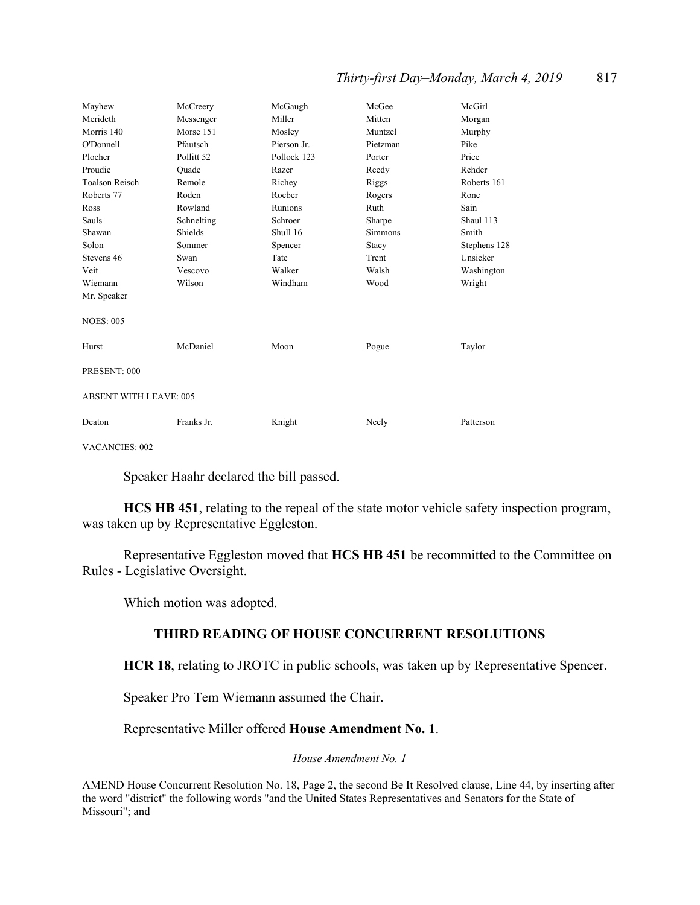#### *Thirty-first Day–Monday, March 4, 2019* 817

| Mayhew                        | McCreery              | McGaugh     | McGee    | McGirl       |
|-------------------------------|-----------------------|-------------|----------|--------------|
| Merideth                      | Messenger             | Miller      | Mitten   | Morgan       |
| Morris 140                    | Morse 151             | Mosley      | Muntzel  | Murphy       |
| O'Donnell                     | Pfautsch              | Pierson Jr. | Pietzman | Pike         |
| Plocher                       | Pollitt <sub>52</sub> | Pollock 123 | Porter   | Price        |
| Proudie                       | Ouade                 | Razer       | Reedy    | Rehder       |
| <b>Toalson Reisch</b>         | Remole                | Richey      | Riggs    | Roberts 161  |
| Roberts 77                    | Roden                 | Roeber      | Rogers   | Rone         |
| Ross                          | Rowland               | Runions     | Ruth     | Sain         |
| Sauls                         | Schnelting            | Schroer     | Sharpe   | Shaul 113    |
| Shawan                        | Shields               | Shull 16    | Simmons  | Smith        |
| Solon                         | Sommer                | Spencer     | Stacy    | Stephens 128 |
| Stevens 46                    | Swan                  | Tate        | Trent    | Unsicker     |
| Veit                          | Vescovo               | Walker      | Walsh    | Washington   |
| Wiemann                       | Wilson                | Windham     | Wood     | Wright       |
| Mr. Speaker                   |                       |             |          |              |
| <b>NOES: 005</b>              |                       |             |          |              |
| Hurst                         | McDaniel              | Moon        | Pogue    | Taylor       |
| PRESENT: 000                  |                       |             |          |              |
| <b>ABSENT WITH LEAVE: 005</b> |                       |             |          |              |
| Deaton                        | Franks Jr.            | Knight      | Neely    | Patterson    |

VACANCIES: 002

Speaker Haahr declared the bill passed.

**HCS HB 451**, relating to the repeal of the state motor vehicle safety inspection program, was taken up by Representative Eggleston.

 Representative Eggleston moved that **HCS HB 451** be recommitted to the Committee on Rules - Legislative Oversight.

Which motion was adopted.

#### **THIRD READING OF HOUSE CONCURRENT RESOLUTIONS**

**HCR 18**, relating to JROTC in public schools, was taken up by Representative Spencer.

Speaker Pro Tem Wiemann assumed the Chair.

Representative Miller offered **House Amendment No. 1**.

*House Amendment No. 1*

AMEND House Concurrent Resolution No. 18, Page 2, the second Be It Resolved clause, Line 44, by inserting after the word "district" the following words "and the United States Representatives and Senators for the State of Missouri"; and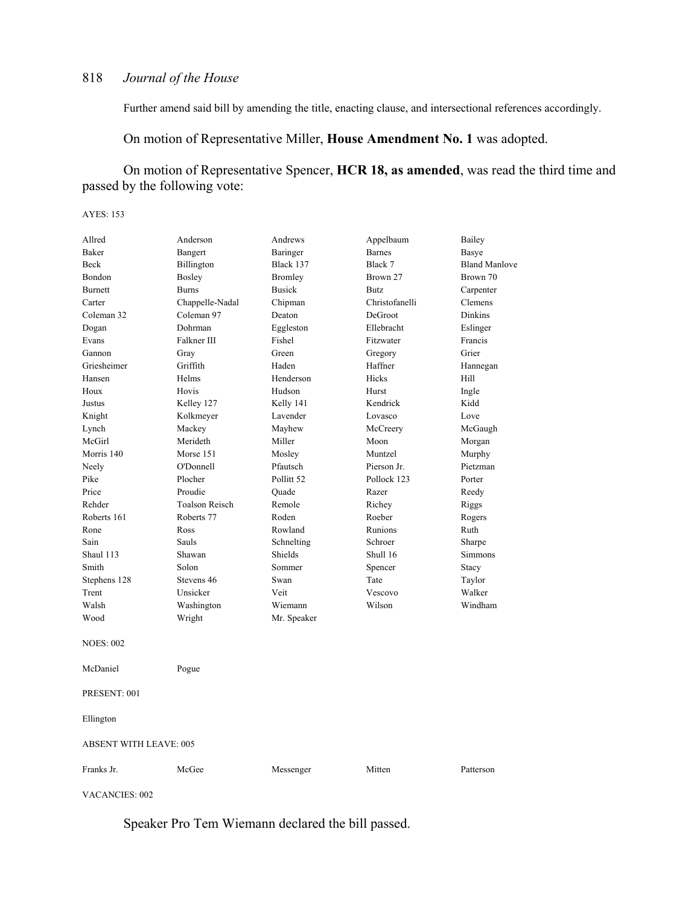Further amend said bill by amending the title, enacting clause, and intersectional references accordingly.

On motion of Representative Miller, **House Amendment No. 1** was adopted.

 On motion of Representative Spencer, **HCR 18, as amended**, was read the third time and passed by the following vote:

AYES: 153

| Allred           | Anderson                      | Andrews               | Appelbaum      | Bailey               |  |  |
|------------------|-------------------------------|-----------------------|----------------|----------------------|--|--|
| Baker            | Bangert                       | Baringer              | <b>Barnes</b>  | Basye                |  |  |
| Beck             | Billington                    | Black 137             | Black 7        | <b>Bland Manlove</b> |  |  |
| Bondon           | <b>Bosley</b>                 | Bromley               | Brown 27       | Brown 70             |  |  |
| Burnett          | <b>Burns</b>                  | <b>Busick</b>         | <b>Butz</b>    | Carpenter            |  |  |
| Carter           | Chappelle-Nadal               | Chipman               | Christofanelli | Clemens              |  |  |
| Coleman 32       | Coleman 97                    | Deaton                | DeGroot        | <b>Dinkins</b>       |  |  |
| Dogan            | Dohrman                       | Eggleston             | Ellebracht     | Eslinger             |  |  |
| Evans            | Falkner III                   | Fishel                | Fitzwater      | Francis              |  |  |
| Gannon           | Gray                          | Green                 | Gregory        | Grier                |  |  |
| Griesheimer      | Griffith                      | Haden                 | Haffner        | Hannegan             |  |  |
| Hansen           | Helms                         | Henderson             | Hicks          | Hill                 |  |  |
| Houx             | Hovis                         | Hudson                | Hurst          | Ingle                |  |  |
| Justus           | Kelley 127                    | Kelly 141             | Kendrick       | Kidd                 |  |  |
| Knight           | Kolkmeyer                     | Lavender              | Lovasco        | Love                 |  |  |
| Lynch            | Mackey                        | Mayhew                | McCreery       | McGaugh              |  |  |
| McGirl           | Merideth                      | Miller                | Moon           | Morgan               |  |  |
| Morris 140       | Morse 151                     | Mosley                | Muntzel        | Murphy               |  |  |
| Neely            | O'Donnell                     | Pfautsch              | Pierson Jr.    | Pietzman             |  |  |
| Pike             | Plocher                       | Pollitt <sub>52</sub> | Pollock 123    | Porter               |  |  |
| Price            | Proudie                       | Ouade                 | Razer          | Reedy                |  |  |
| Rehder           | <b>Toalson Reisch</b>         | Remole                | Richey         | Riggs                |  |  |
| Roberts 161      | Roberts 77                    | Roden                 | Roeber         | Rogers               |  |  |
| Rone             | Ross                          | Rowland               | Runions        | Ruth                 |  |  |
| Sain             | Sauls                         | Schnelting            | Schroer        | Sharpe               |  |  |
| Shaul 113        | Shawan                        | Shields               | Shull 16       | <b>Simmons</b>       |  |  |
| Smith            | Solon                         | Sommer                | Spencer        | Stacy                |  |  |
| Stephens 128     | Stevens 46                    | Swan                  | Tate           | Taylor               |  |  |
| Trent            | Unsicker                      | Veit                  | Vescovo        | Walker               |  |  |
| Walsh            | Washington                    | Wiemann               | Wilson         | Windham              |  |  |
| Wood             | Wright                        | Mr. Speaker           |                |                      |  |  |
| <b>NOES: 002</b> |                               |                       |                |                      |  |  |
| McDaniel         | Pogue                         |                       |                |                      |  |  |
| PRESENT: 001     |                               |                       |                |                      |  |  |
| Ellington        |                               |                       |                |                      |  |  |
|                  | <b>ABSENT WITH LEAVE: 005</b> |                       |                |                      |  |  |
| Franks Jr.       | McGee                         | Messenger             | Mitten         | Patterson            |  |  |

VACANCIES: 002

Speaker Pro Tem Wiemann declared the bill passed.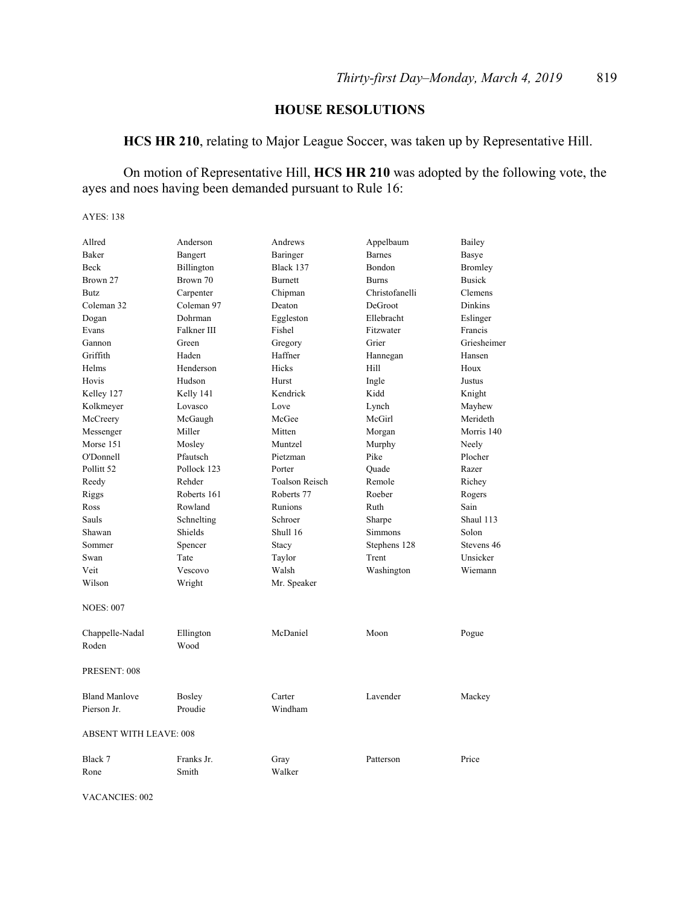## **HOUSE RESOLUTIONS**

**HCS HR 210**, relating to Major League Soccer, was taken up by Representative Hill.

 On motion of Representative Hill, **HCS HR 210** was adopted by the following vote, the ayes and noes having been demanded pursuant to Rule 16:

AYES: 138

| Allred                        | Anderson                      |                       |                            |                |
|-------------------------------|-------------------------------|-----------------------|----------------------------|----------------|
| Baker                         |                               | Andrews               | Appelbaum<br><b>Barnes</b> | Bailey         |
| <b>Beck</b>                   | Bangert                       | Baringer<br>Black 137 | <b>Bondon</b>              | Basye          |
|                               | <b>Billington</b><br>Brown 70 |                       |                            | Bromley        |
| Brown 27                      |                               | <b>Burnett</b>        | <b>Burns</b>               | <b>Busick</b>  |
| <b>Butz</b>                   | Carpenter                     | Chipman               | Christofanelli             | Clemens        |
| Coleman 32                    | Coleman 97                    | Deaton                | DeGroot                    | <b>Dinkins</b> |
| Dogan                         | Dohrman                       | Eggleston             | Ellebracht                 | Eslinger       |
| Evans                         | Falkner III                   | Fishel                | Fitzwater                  | Francis        |
| Gannon                        | Green                         | Gregory               | Grier                      | Griesheimer    |
| Griffith                      | Haden                         | Haffner               | Hannegan                   | Hansen         |
| Helms                         | Henderson                     | Hicks                 | Hill                       | Houx           |
| Hovis                         | Hudson                        | Hurst                 | Ingle                      | Justus         |
| Kelley 127                    | Kelly 141                     | Kendrick              | Kidd                       | Knight         |
| Kolkmeyer                     | Lovasco                       | Love                  | Lynch                      | Mayhew         |
| McCreery                      | McGaugh                       | McGee                 | McGirl                     | Merideth       |
| Messenger                     | Miller                        | Mitten                | Morgan                     | Morris 140     |
| Morse 151                     | Mosley                        | Muntzel               | Murphy                     | Neely          |
| O'Donnell                     | Pfautsch                      | Pietzman              | Pike                       | Plocher        |
| Pollitt 52                    | Pollock 123                   | Porter                | Quade                      | Razer          |
| Reedy                         | Rehder                        | <b>Toalson Reisch</b> | Remole                     | Richey         |
| Riggs                         | Roberts 161                   | Roberts 77            | Roeber                     | Rogers         |
| Ross                          | Rowland                       | Runions               | Ruth                       | Sain           |
| Sauls                         | Schnelting                    | Schroer               | Sharpe                     | Shaul 113      |
| Shawan                        | Shields                       | Shull 16              | Simmons                    | Solon          |
| Sommer                        | Spencer                       | Stacy                 | Stephens 128               | Stevens 46     |
| Swan                          | Tate                          | Taylor                | Trent                      | Unsicker       |
| Veit                          | Vescovo                       | Walsh                 | Washington                 | Wiemann        |
| Wilson                        | Wright                        | Mr. Speaker           |                            |                |
| <b>NOES: 007</b>              |                               |                       |                            |                |
| Chappelle-Nadal               | Ellington                     | McDaniel              | Moon                       | Pogue          |
| Roden                         | Wood                          |                       |                            |                |
| PRESENT: 008                  |                               |                       |                            |                |
| <b>Bland Manlove</b>          | <b>Bosley</b>                 | Carter                | Lavender                   | Mackey         |
| Pierson Jr.                   | Proudie                       | Windham               |                            |                |
| <b>ABSENT WITH LEAVE: 008</b> |                               |                       |                            |                |
| Black 7                       | Franks Jr.                    | Gray                  | Patterson                  | Price          |
| Rone                          | Smith                         | Walker                |                            |                |

VACANCIES: 002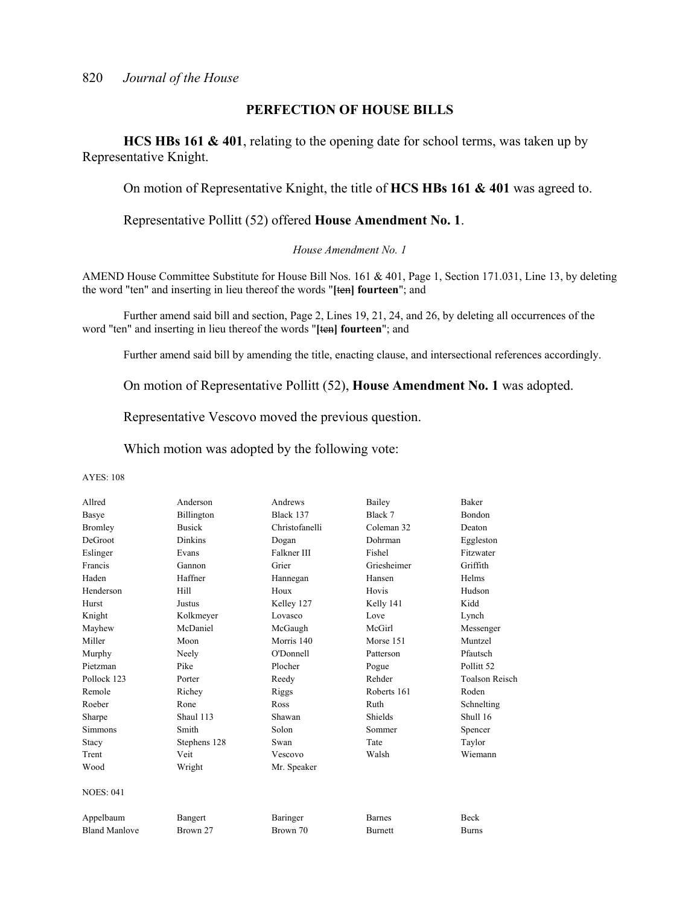#### **PERFECTION OF HOUSE BILLS**

**HCS HBs 161 & 401**, relating to the opening date for school terms, was taken up by Representative Knight.

On motion of Representative Knight, the title of **HCS HBs 161 & 401** was agreed to.

Representative Pollitt (52) offered **House Amendment No. 1**.

*House Amendment No. 1*

AMEND House Committee Substitute for House Bill Nos. 161 & 401, Page 1, Section 171.031, Line 13, by deleting the word "ten" and inserting in lieu thereof the words "**[**ten**] fourteen**"; and

 Further amend said bill and section, Page 2, Lines 19, 21, 24, and 26, by deleting all occurrences of the word "ten" and inserting in lieu thereof the words "**[**ten**] fourteen**"; and

Further amend said bill by amending the title, enacting clause, and intersectional references accordingly.

On motion of Representative Pollitt (52), **House Amendment No. 1** was adopted.

Representative Vescovo moved the previous question.

Which motion was adopted by the following vote:

| Allred               | Anderson       | Andrews        | Bailey         | <b>Baker</b>          |
|----------------------|----------------|----------------|----------------|-----------------------|
| Basye                | Billington     | Black 137      | Black 7        | <b>Bondon</b>         |
| <b>Bromley</b>       | <b>Busick</b>  | Christofanelli | Coleman 32     | Deaton                |
| <b>DeGroot</b>       | <b>Dinkins</b> | Dogan          | Dohrman        | Eggleston             |
| Eslinger             | Evans          | Falkner III    | Fishel         | Fitzwater             |
| Francis              | Gannon         | Grier          | Griesheimer    | Griffith              |
| Haden                | Haffner        | Hannegan       | Hansen         | Helms                 |
| Henderson            | Hill           | Houx           | Hovis          | Hudson                |
| Hurst                | Justus         | Kelley 127     | Kelly 141      | Kidd                  |
| Knight               | Kolkmeyer      | Lovasco        | Love           | Lynch                 |
| Mayhew               | McDaniel       | McGaugh        | McGirl         | Messenger             |
| Miller               | Moon           | Morris 140     | Morse 151      | Muntzel               |
| Murphy               | Neely          | O'Donnell      | Patterson      | Pfautsch              |
| Pietzman             | Pike           | Plocher        | Pogue          | Pollitt <sub>52</sub> |
| Pollock 123          | Porter         | Reedy          | Rehder         | Toalson Reisch        |
| Remole               | Richey         | Riggs          | Roberts 161    | Roden                 |
| Roeber               | Rone           | Ross           | Ruth           | Schnelting            |
| Sharpe               | Shaul 113      | Shawan         | <b>Shields</b> | Shull 16              |
| <b>Simmons</b>       | Smith          | Solon          | Sommer         | Spencer               |
| Stacy                | Stephens 128   | Swan           | Tate           | Taylor                |
| Trent                | Veit           | Vescovo        | Walsh          | Wiemann               |
| Wood                 | Wright         | Mr. Speaker    |                |                       |
| <b>NOES: 041</b>     |                |                |                |                       |
| Appelbaum            | Bangert        | Baringer       | <b>Barnes</b>  | <b>Beck</b>           |
| <b>Bland Manlove</b> | Brown 27       | Brown 70       | Burnett        | <b>Burns</b>          |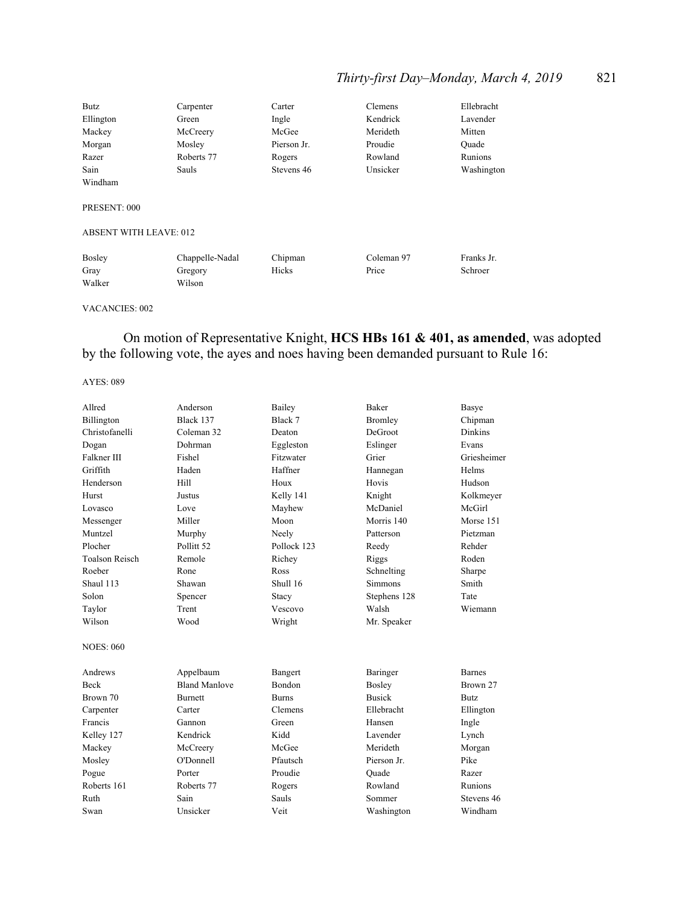## *Thirty-first Day–Monday, March 4, 2019* 821

| <b>Butz</b>                   | Carpenter  | Carter      | Clemens  | Ellebracht |
|-------------------------------|------------|-------------|----------|------------|
| Ellington                     | Green      | Ingle       | Kendrick | Lavender   |
| Mackey                        | McCreery   | McGee       | Merideth | Mitten     |
| Morgan                        | Mosley     | Pierson Jr. | Proudie  | Ouade      |
| Razer                         | Roberts 77 | Rogers      | Rowland  | Runions    |
| Sain                          | Sauls      | Stevens 46  | Unsicker | Washington |
| Windham                       |            |             |          |            |
| PRESENT: 000                  |            |             |          |            |
| <b>ABSENT WITH LEAVE: 012</b> |            |             |          |            |

| <b>Bosley</b> | Chappelle-Nadal | Chipman | Coleman 97 | Franks Jr. |
|---------------|-----------------|---------|------------|------------|
| Gray          | Gregory         | Hicks   | Price      | Schroer    |
| Walker        | Wilson          |         |            |            |

#### VACANCIES: 002

## On motion of Representative Knight, **HCS HBs 161 & 401, as amended**, was adopted by the following vote, the ayes and noes having been demanded pursuant to Rule 16:

| Allred                | Anderson             | Bailey        | <b>Baker</b>   | Basye          |
|-----------------------|----------------------|---------------|----------------|----------------|
| Billington            | Black 137            | Black 7       | <b>Bromley</b> | Chipman        |
| Christofanelli        | Coleman 32           | Deaton        | DeGroot        | <b>Dinkins</b> |
| Dogan                 | Dohrman              | Eggleston     | Eslinger       | Evans          |
| Falkner III           | Fishel               | Fitzwater     | Grier          | Griesheimer    |
| Griffith              | Haden                | Haffner       | Hannegan       | Helms          |
| Henderson             | Hill                 | Houx          | Hovis          | Hudson         |
| Hurst                 | Justus               | Kelly 141     | Knight         | Kolkmeyer      |
| Lovasco               | Love                 | Mayhew        | McDaniel       | McGirl         |
| Messenger             | Miller               | Moon          | Morris 140     | Morse 151      |
| Muntzel               | Murphy               | Neely         | Patterson      | Pietzman       |
| Plocher               | Pollitt 52           | Pollock 123   | Reedy          | Rehder         |
| <b>Toalson Reisch</b> | Remole               | Richey        | Riggs          | Roden          |
| Roeber                | Rone                 | <b>Ross</b>   | Schnelting     | Sharpe         |
| Shaul 113             | Shawan               | Shull 16      | <b>Simmons</b> | Smith          |
| Solon                 | Spencer              | Stacy         | Stephens 128   | Tate           |
| Taylor                | Trent                | Vescovo       | Walsh          | Wiemann        |
| Wilson                | Wood                 | Wright        | Mr. Speaker    |                |
| <b>NOES: 060</b>      |                      |               |                |                |
| Andrews               | Appelbaum            | Bangert       | Baringer       | <b>Barnes</b>  |
| <b>Beck</b>           | <b>Bland Manlove</b> | <b>Bondon</b> | <b>Bosley</b>  | Brown 27       |
| Brown 70              | <b>Burnett</b>       | <b>Burns</b>  | <b>Busick</b>  | Butz           |
| Carpenter             | Carter               | Clemens       | Ellebracht     | Ellington      |
| Francis               | Gannon               | Green         | Hansen         | Ingle          |
| Kelley 127            | Kendrick             | Kidd          | Lavender       | Lynch          |
| Mackey                | McCreery             | McGee         | Merideth       | Morgan         |
| Mosley                | O'Donnell            | Pfautsch      | Pierson Jr.    | Pike           |
| Pogue                 | Porter               | Proudie       | Ouade          | Razer          |
| Roberts 161           | Roberts 77           | Rogers        | Rowland        | Runions        |
| Ruth                  | Sain                 | Sauls         | Sommer         | Stevens 46     |
| Swan                  | Unsicker             | Veit          | Washington     | Windham        |
|                       |                      |               |                |                |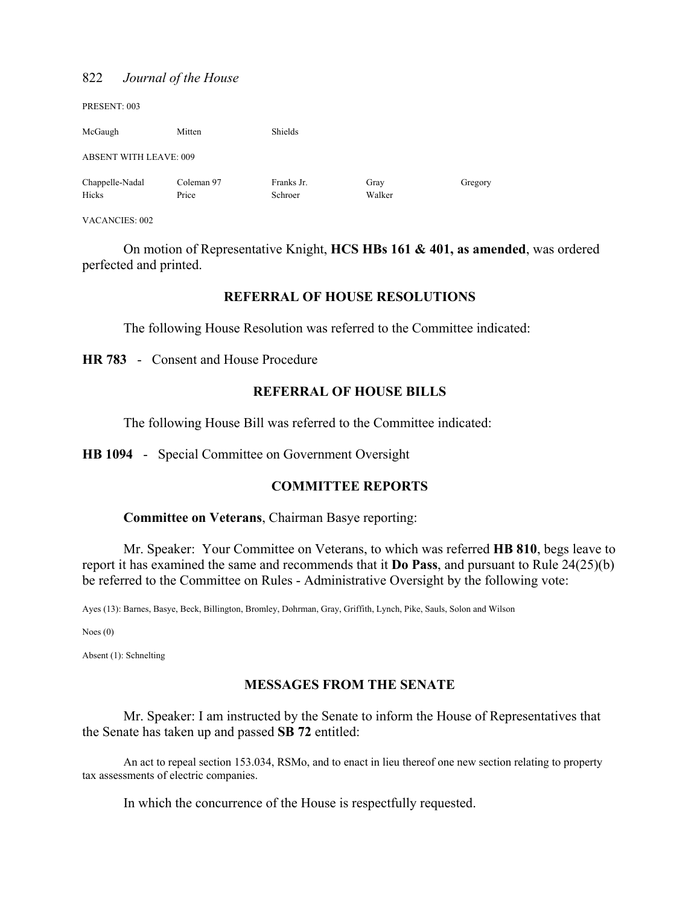| PRESENT: 003                  |                     |                       |                |         |
|-------------------------------|---------------------|-----------------------|----------------|---------|
| McGaugh                       | Mitten              | Shields               |                |         |
| <b>ABSENT WITH LEAVE: 009</b> |                     |                       |                |         |
| Chappelle-Nadal<br>Hicks      | Coleman 97<br>Price | Franks Jr.<br>Schroer | Gray<br>Walker | Gregory |

VACANCIES: 002

 On motion of Representative Knight, **HCS HBs 161 & 401, as amended**, was ordered perfected and printed.

#### **REFERRAL OF HOUSE RESOLUTIONS**

The following House Resolution was referred to the Committee indicated:

**HR 783** - Consent and House Procedure

#### **REFERRAL OF HOUSE BILLS**

The following House Bill was referred to the Committee indicated:

**HB 1094** - Special Committee on Government Oversight

#### **COMMITTEE REPORTS**

**Committee on Veterans**, Chairman Basye reporting:

 Mr. Speaker: Your Committee on Veterans, to which was referred **HB 810**, begs leave to report it has examined the same and recommends that it **Do Pass**, and pursuant to Rule 24(25)(b) be referred to the Committee on Rules - Administrative Oversight by the following vote:

Ayes (13): Barnes, Basye, Beck, Billington, Bromley, Dohrman, Gray, Griffith, Lynch, Pike, Sauls, Solon and Wilson

Noes (0)

Absent (1): Schnelting

#### **MESSAGES FROM THE SENATE**

Mr. Speaker: I am instructed by the Senate to inform the House of Representatives that the Senate has taken up and passed **SB 72** entitled:

 An act to repeal section 153.034, RSMo, and to enact in lieu thereof one new section relating to property tax assessments of electric companies.

In which the concurrence of the House is respectfully requested.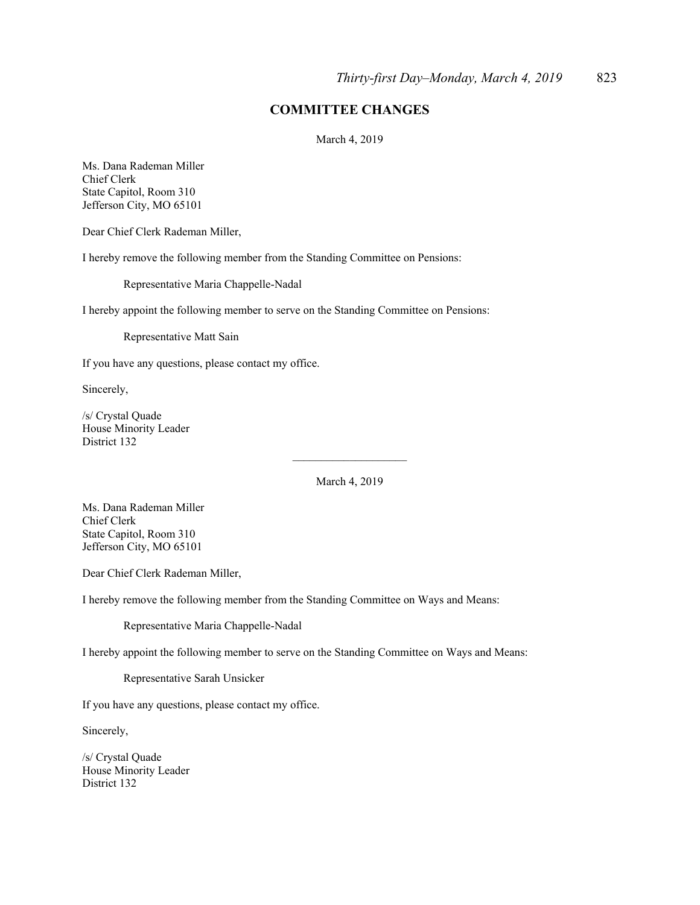#### **COMMITTEE CHANGES**

March 4, 2019

Ms. Dana Rademan Miller Chief Clerk State Capitol, Room 310 Jefferson City, MO 65101

Dear Chief Clerk Rademan Miller,

I hereby remove the following member from the Standing Committee on Pensions:

Representative Maria Chappelle-Nadal

I hereby appoint the following member to serve on the Standing Committee on Pensions:

Representative Matt Sain

If you have any questions, please contact my office.

Sincerely,

/s/ Crystal Quade House Minority Leader District 132

March 4, 2019

 $\overline{\phantom{a}}$  , where  $\overline{\phantom{a}}$  , where  $\overline{\phantom{a}}$ 

Ms. Dana Rademan Miller Chief Clerk State Capitol, Room 310 Jefferson City, MO 65101

Dear Chief Clerk Rademan Miller,

I hereby remove the following member from the Standing Committee on Ways and Means:

Representative Maria Chappelle-Nadal

I hereby appoint the following member to serve on the Standing Committee on Ways and Means:

Representative Sarah Unsicker

If you have any questions, please contact my office.

Sincerely,

/s/ Crystal Quade House Minority Leader District 132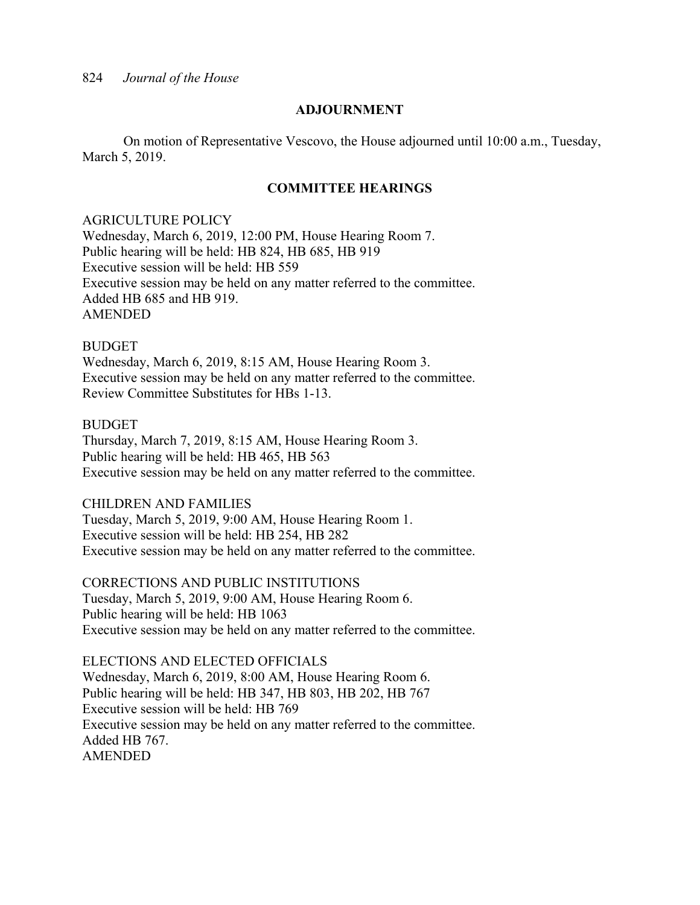#### **ADJOURNMENT**

 On motion of Representative Vescovo, the House adjourned until 10:00 a.m., Tuesday, March 5, 2019.

#### **COMMITTEE HEARINGS**

#### AGRICULTURE POLICY

Wednesday, March 6, 2019, 12:00 PM, House Hearing Room 7. Public hearing will be held: HB 824, HB 685, HB 919 Executive session will be held: HB 559 Executive session may be held on any matter referred to the committee. Added HB 685 and HB 919. AMENDED

#### BUDGET

Wednesday, March 6, 2019, 8:15 AM, House Hearing Room 3. Executive session may be held on any matter referred to the committee. Review Committee Substitutes for HBs 1-13.

#### **BUDGET**

Thursday, March 7, 2019, 8:15 AM, House Hearing Room 3. Public hearing will be held: HB 465, HB 563 Executive session may be held on any matter referred to the committee.

#### CHILDREN AND FAMILIES

Tuesday, March 5, 2019, 9:00 AM, House Hearing Room 1. Executive session will be held: HB 254, HB 282 Executive session may be held on any matter referred to the committee.

CORRECTIONS AND PUBLIC INSTITUTIONS Tuesday, March 5, 2019, 9:00 AM, House Hearing Room 6. Public hearing will be held: HB 1063 Executive session may be held on any matter referred to the committee.

ELECTIONS AND ELECTED OFFICIALS Wednesday, March 6, 2019, 8:00 AM, House Hearing Room 6. Public hearing will be held: HB 347, HB 803, HB 202, HB 767 Executive session will be held: HB 769 Executive session may be held on any matter referred to the committee. Added HB 767. AMENDED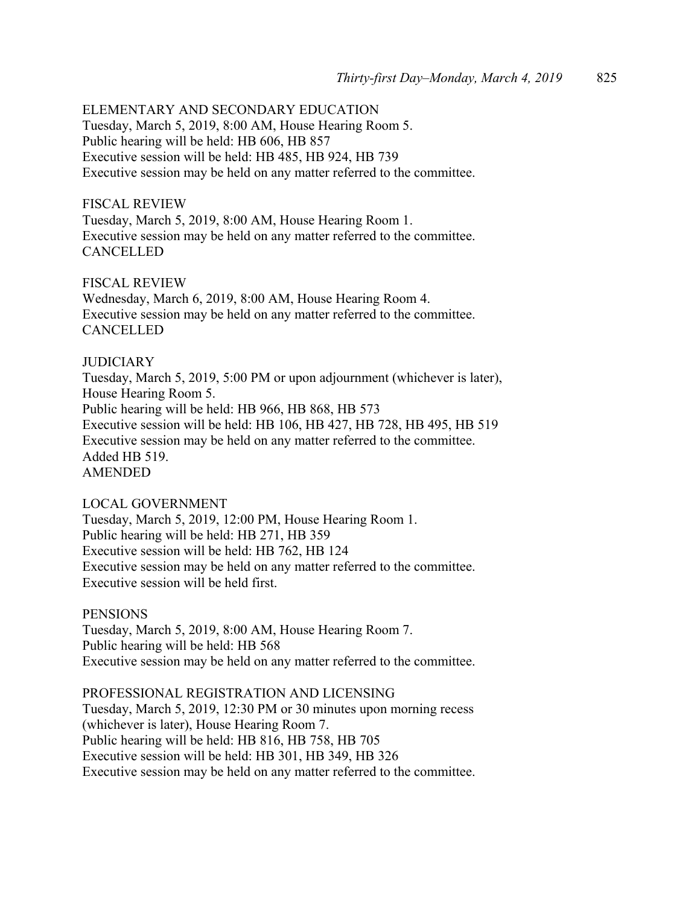ELEMENTARY AND SECONDARY EDUCATION Tuesday, March 5, 2019, 8:00 AM, House Hearing Room 5. Public hearing will be held: HB 606, HB 857 Executive session will be held: HB 485, HB 924, HB 739 Executive session may be held on any matter referred to the committee.

#### FISCAL REVIEW

Tuesday, March 5, 2019, 8:00 AM, House Hearing Room 1. Executive session may be held on any matter referred to the committee. **CANCELLED** 

FISCAL REVIEW Wednesday, March 6, 2019, 8:00 AM, House Hearing Room 4. Executive session may be held on any matter referred to the committee. **CANCELLED** 

#### **JUDICIARY**

Tuesday, March 5, 2019, 5:00 PM or upon adjournment (whichever is later), House Hearing Room 5. Public hearing will be held: HB 966, HB 868, HB 573 Executive session will be held: HB 106, HB 427, HB 728, HB 495, HB 519 Executive session may be held on any matter referred to the committee. Added HB 519. AMENDED

#### LOCAL GOVERNMENT

Tuesday, March 5, 2019, 12:00 PM, House Hearing Room 1. Public hearing will be held: HB 271, HB 359 Executive session will be held: HB 762, HB 124 Executive session may be held on any matter referred to the committee. Executive session will be held first.

#### **PENSIONS**

Tuesday, March 5, 2019, 8:00 AM, House Hearing Room 7. Public hearing will be held: HB 568 Executive session may be held on any matter referred to the committee.

PROFESSIONAL REGISTRATION AND LICENSING Tuesday, March 5, 2019, 12:30 PM or 30 minutes upon morning recess (whichever is later), House Hearing Room 7. Public hearing will be held: HB 816, HB 758, HB 705 Executive session will be held: HB 301, HB 349, HB 326 Executive session may be held on any matter referred to the committee.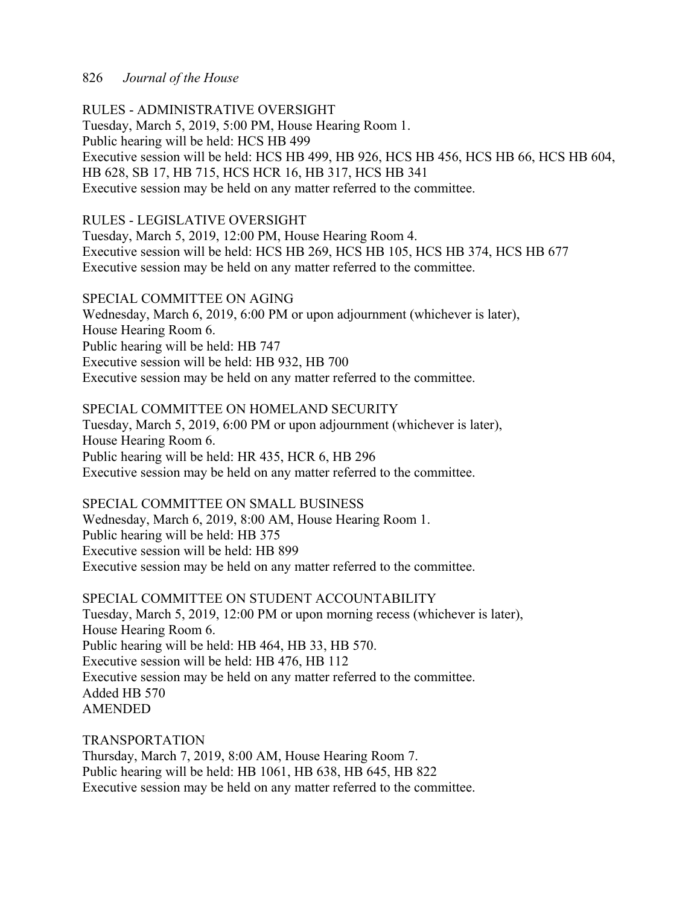RULES - ADMINISTRATIVE OVERSIGHT Tuesday, March 5, 2019, 5:00 PM, House Hearing Room 1. Public hearing will be held: HCS HB 499 Executive session will be held: HCS HB 499, HB 926, HCS HB 456, HCS HB 66, HCS HB 604, HB 628, SB 17, HB 715, HCS HCR 16, HB 317, HCS HB 341 Executive session may be held on any matter referred to the committee.

#### RULES - LEGISLATIVE OVERSIGHT

Tuesday, March 5, 2019, 12:00 PM, House Hearing Room 4. Executive session will be held: HCS HB 269, HCS HB 105, HCS HB 374, HCS HB 677 Executive session may be held on any matter referred to the committee.

#### SPECIAL COMMITTEE ON AGING

Wednesday, March 6, 2019, 6:00 PM or upon adjournment (whichever is later), House Hearing Room 6. Public hearing will be held: HB 747 Executive session will be held: HB 932, HB 700 Executive session may be held on any matter referred to the committee.

SPECIAL COMMITTEE ON HOMELAND SECURITY Tuesday, March 5, 2019, 6:00 PM or upon adjournment (whichever is later), House Hearing Room 6. Public hearing will be held: HR 435, HCR 6, HB 296 Executive session may be held on any matter referred to the committee.

#### SPECIAL COMMITTEE ON SMALL BUSINESS

Wednesday, March 6, 2019, 8:00 AM, House Hearing Room 1. Public hearing will be held: HB 375 Executive session will be held: HB 899 Executive session may be held on any matter referred to the committee.

SPECIAL COMMITTEE ON STUDENT ACCOUNTABILITY Tuesday, March 5, 2019, 12:00 PM or upon morning recess (whichever is later), House Hearing Room 6. Public hearing will be held: HB 464, HB 33, HB 570. Executive session will be held: HB 476, HB 112 Executive session may be held on any matter referred to the committee. Added HB 570 AMENDED

TRANSPORTATION Thursday, March 7, 2019, 8:00 AM, House Hearing Room 7. Public hearing will be held: HB 1061, HB 638, HB 645, HB 822 Executive session may be held on any matter referred to the committee.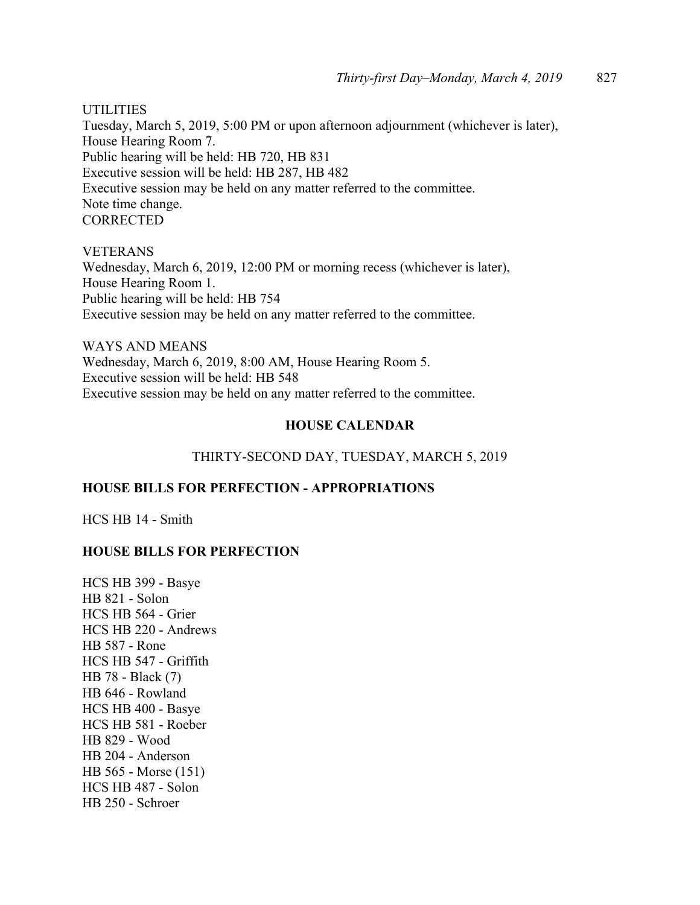UTILITIES

Tuesday, March 5, 2019, 5:00 PM or upon afternoon adjournment (whichever is later), House Hearing Room 7. Public hearing will be held: HB 720, HB 831 Executive session will be held: HB 287, HB 482 Executive session may be held on any matter referred to the committee. Note time change. **CORRECTED** 

VETERANS Wednesday, March 6, 2019, 12:00 PM or morning recess (whichever is later), House Hearing Room 1. Public hearing will be held: HB 754 Executive session may be held on any matter referred to the committee.

WAYS AND MEANS Wednesday, March 6, 2019, 8:00 AM, House Hearing Room 5. Executive session will be held: HB 548 Executive session may be held on any matter referred to the committee.

#### **HOUSE CALENDAR**

#### THIRTY-SECOND DAY, TUESDAY, MARCH 5, 2019

#### **HOUSE BILLS FOR PERFECTION - APPROPRIATIONS**

HCS HB 14 - Smith

#### **HOUSE BILLS FOR PERFECTION**

HCS HB 399 - Basye HB 821 - Solon HCS HB 564 - Grier HCS HB 220 - Andrews HB 587 - Rone HCS HB 547 - Griffith HB 78 - Black (7) HB 646 - Rowland HCS HB 400 - Basye HCS HB 581 - Roeber HB 829 - Wood HB 204 - Anderson HB 565 - Morse (151) HCS HB 487 - Solon HB 250 - Schroer